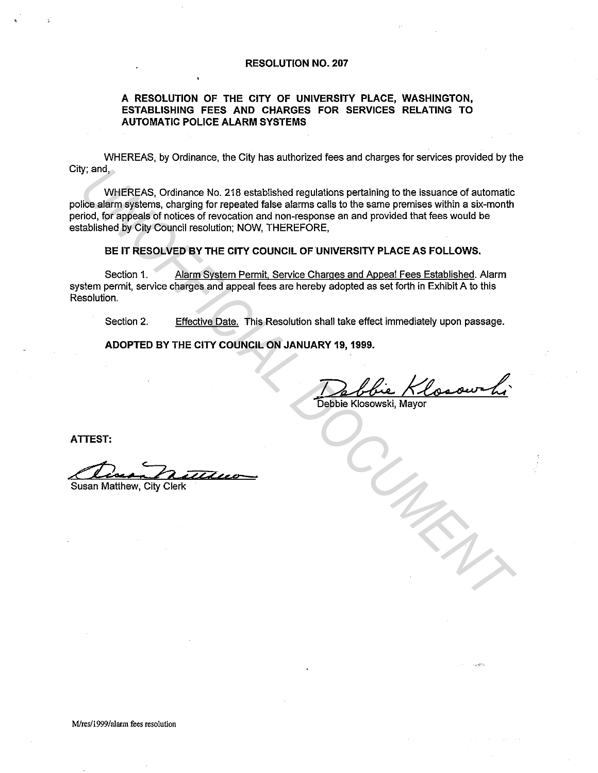#### **RESOLUTION NO. 207**

### **A RESOLUTION OF THE CITY OF UNIVERSITY PLACE, WASHINGTON, ESTABLISHING FEES AND CHARGES FOR SERVICES RELATING TO AUTOMATIC POLICE ALARM SYSTEMS**

WHEREAS, by Ordinance, the City has authorized fees and charges for services provided by the City; and,

WHEREAS, Ordinance No. 218 established regulations pertaining to the issuance of automatic police alarm systems, charging for repeated false alarms calls to the same premises within a six-month period, for appeals of notices of revocation and non-response an and provided that fees would be established by City Council resolution; NOW, THEREFORE, **UNIFICALS, Ordinance No. 218 established regulations pertaining to the issuance of automatic<br>
Illos alarm systems, charging for repeated false alarms calls to the same premises within a six-month<br>
richo, for appeals of in** 

#### **BE IT RESOLVED BY THE CITY COUNCIL OF UNIVERSITY PLACE AS FOLLOWS.**

Section 1. Alarm System Permit, Service Charges and Appeal Fees Established. Alarm system permit, service charges and appeal fees are hereby adopted as set forth in Exhibit A to this Resolution.

Section 2. Effective Date. This Resolution shall take effect immediately upon passage.

**ADOPTED BY THE CITY COUNCIL ON JANUARY 19, 1999.** 

Debbie Klosowski

Debbie Klosowski. Mavor

**ATTEST:** 

Susan Matthew, City Clerk